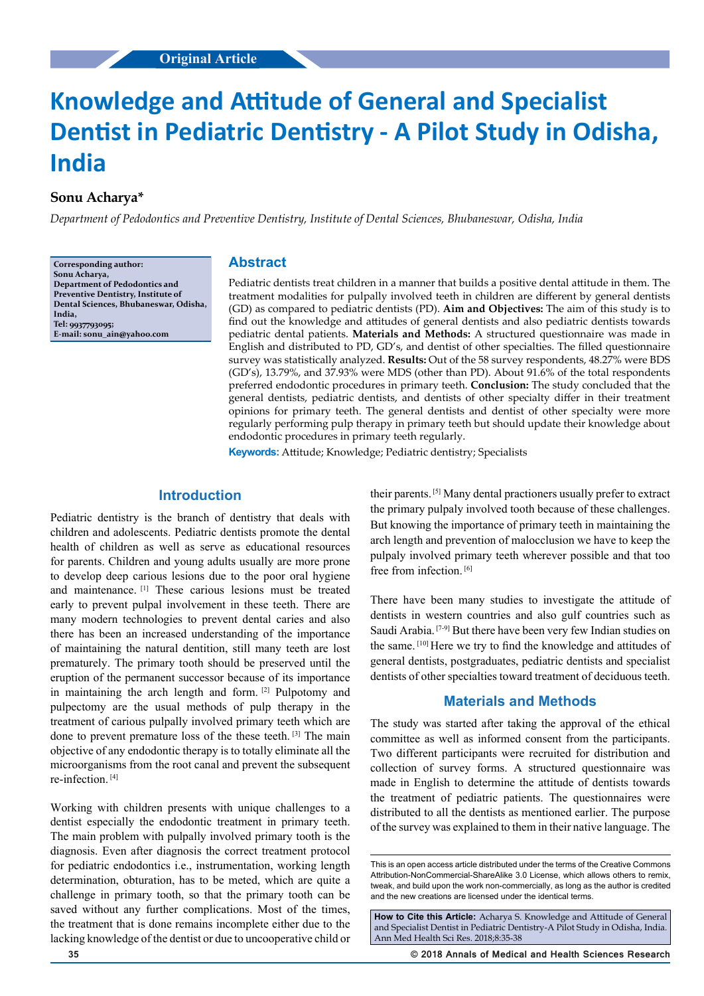# **Knowledge and Attitude of General and Specialist Dentist in Pediatric Dentistry - A Pilot Study in Odisha, India**

# **Sonu Acharya\***

*Department of Pedodontics and Preventive Dentistry, Institute of Dental Sciences, Bhubaneswar, Odisha, India*

**Corresponding author: Sonu Acharya, Department of Pedodontics and Preventive Dentistry, Institute of Dental Sciences, Bhubaneswar, Odisha, India, Tel: 9937793095; E-mail: sonu\_ain@yahoo.com**

## **Abstract**

Pediatric dentists treat children in a manner that builds a positive dental attitude in them. The treatment modalities for pulpally involved teeth in children are different by general dentists (GD) as compared to pediatric dentists (PD). **Aim and Objectives:** The aim of this study is to find out the knowledge and attitudes of general dentists and also pediatric dentists towards pediatric dental patients. **Materials and Methods:** A structured questionnaire was made in English and distributed to PD, GD's, and dentist of other specialties. The filled questionnaire survey was statistically analyzed. **Results:** Out of the 58 survey respondents, 48.27% were BDS (GD's), 13.79%, and 37.93% were MDS (other than PD). About 91.6% of the total respondents preferred endodontic procedures in primary teeth. **Conclusion:** The study concluded that the general dentists, pediatric dentists, and dentists of other specialty differ in their treatment opinions for primary teeth. The general dentists and dentist of other specialty were more regularly performing pulp therapy in primary teeth but should update their knowledge about endodontic procedures in primary teeth regularly.

**Keywords:** Attitude; Knowledge; Pediatric dentistry; Specialists

# **Introduction**

Pediatric dentistry is the branch of dentistry that deals with children and adolescents. Pediatric dentists promote the dental health of children as well as serve as educational resources for parents. Children and young adults usually are more prone to develop deep carious lesions due to the poor oral hygiene and maintenance. [1] These carious lesions must be treated early to prevent pulpal involvement in these teeth. There are many modern technologies to prevent dental caries and also there has been an increased understanding of the importance of maintaining the natural dentition, still many teeth are lost prematurely. The primary tooth should be preserved until the eruption of the permanent successor because of its importance in maintaining the arch length and form. [2] Pulpotomy and pulpectomy are the usual methods of pulp therapy in the treatment of carious pulpally involved primary teeth which are done to prevent premature loss of the these teeth. [3] The main objective of any endodontic therapy is to totally eliminate all the microorganisms from the root canal and prevent the subsequent re-infection. [4]

Working with children presents with unique challenges to a dentist especially the endodontic treatment in primary teeth. The main problem with pulpally involved primary tooth is the diagnosis. Even after diagnosis the correct treatment protocol for pediatric endodontics i.e., instrumentation, working length determination, obturation, has to be meted, which are quite a challenge in primary tooth, so that the primary tooth can be saved without any further complications. Most of the times, the treatment that is done remains incomplete either due to the lacking knowledge of the dentist or due to uncooperative child or

their parents. [5] Many dental practioners usually prefer to extract the primary pulpaly involved tooth because of these challenges. But knowing the importance of primary teeth in maintaining the arch length and prevention of malocclusion we have to keep the pulpaly involved primary teeth wherever possible and that too free from infection. [6]

There have been many studies to investigate the attitude of dentists in western countries and also gulf countries such as Saudi Arabia. <sup>[7-9]</sup> But there have been very few Indian studies on the same. [10] Here we try to find the knowledge and attitudes of general dentists, postgraduates, pediatric dentists and specialist dentists of other specialties toward treatment of deciduous teeth.

# **Materials and Methods**

The study was started after taking the approval of the ethical committee as well as informed consent from the participants. Two different participants were recruited for distribution and collection of survey forms. A structured questionnaire was made in English to determine the attitude of dentists towards the treatment of pediatric patients. The questionnaires were distributed to all the dentists as mentioned earlier. The purpose of the survey was explained to them in their native language. The

**How to Cite this Article:** Acharya S. Knowledge and Attitude of General and Specialist Dentist in Pediatric Dentistry-A Pilot Study in Odisha, India. Ann Med Health Sci Res. 2018;8:35-38

**35 © 2018 Annals of Medical and Health Sciences Research** 

This is an open access article distributed under the terms of the Creative Commons Attribution-NonCommercial-ShareAlike 3.0 License, which allows others to remix, tweak, and build upon the work non‑commercially, as long as the author is credited and the new creations are licensed under the identical terms.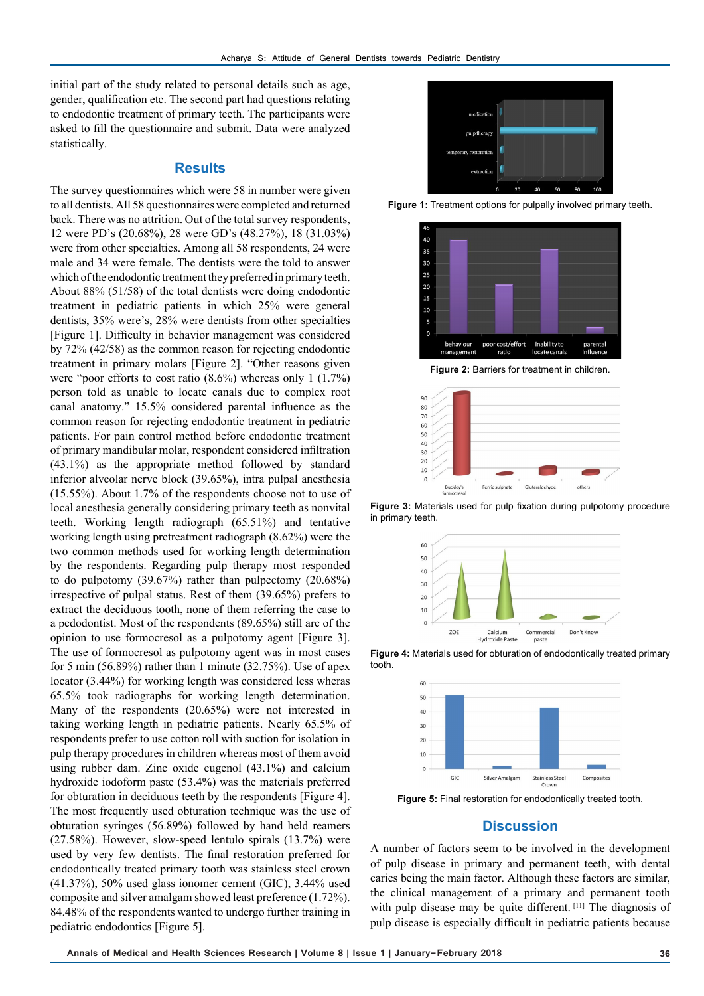initial part of the study related to personal details such as age, gender, qualification etc. The second part had questions relating to endodontic treatment of primary teeth. The participants were asked to fill the questionnaire and submit. Data were analyzed statistically.

#### **Results**

The survey questionnaires which were 58 in number were given to all dentists. All 58 questionnaires were completed and returned back. There was no attrition. Out of the total survey respondents, 12 were PD's (20.68%), 28 were GD's (48.27%), 18 (31.03%) were from other specialties. Among all 58 respondents, 24 were male and 34 were female. The dentists were the told to answer which of the endodontic treatment they preferred in primary teeth. About 88% (51/58) of the total dentists were doing endodontic treatment in pediatric patients in which 25% were general dentists, 35% were's, 28% were dentists from other specialties [Figure 1]. Difficulty in behavior management was considered by 72% (42/58) as the common reason for rejecting endodontic treatment in primary molars [Figure 2]. "Other reasons given were "poor efforts to cost ratio (8.6%) whereas only 1 (1.7%) person told as unable to locate canals due to complex root canal anatomy." 15.5% considered parental influence as the common reason for rejecting endodontic treatment in pediatric patients. For pain control method before endodontic treatment of primary mandibular molar, respondent considered infiltration (43.1%) as the appropriate method followed by standard inferior alveolar nerve block (39.65%), intra pulpal anesthesia (15.55%). About 1.7% of the respondents choose not to use of local anesthesia generally considering primary teeth as nonvital teeth. Working length radiograph (65.51%) and tentative working length using pretreatment radiograph (8.62%) were the two common methods used for working length determination by the respondents. Regarding pulp therapy most responded to do pulpotomy (39.67%) rather than pulpectomy (20.68%) irrespective of pulpal status. Rest of them (39.65%) prefers to extract the deciduous tooth, none of them referring the case to a pedodontist. Most of the respondents (89.65%) still are of the opinion to use formocresol as a pulpotomy agent [Figure 3]. The use of formocresol as pulpotomy agent was in most cases for 5 min  $(56.89\%)$  rather than 1 minute  $(32.75\%)$ . Use of apex locator (3.44%) for working length was considered less wheras 65.5% took radiographs for working length determination. Many of the respondents (20.65%) were not interested in taking working length in pediatric patients. Nearly 65.5% of respondents prefer to use cotton roll with suction for isolation in pulp therapy procedures in children whereas most of them avoid using rubber dam. Zinc oxide eugenol (43.1%) and calcium hydroxide iodoform paste (53.4%) was the materials preferred for obturation in deciduous teeth by the respondents [Figure 4]. The most frequently used obturation technique was the use of obturation syringes (56.89%) followed by hand held reamers (27.58%). However, slow-speed lentulo spirals (13.7%) were used by very few dentists. The final restoration preferred for endodontically treated primary tooth was stainless steel crown (41.37%), 50% used glass ionomer cement (GIC), 3.44% used composite and silver amalgam showed least preference (1.72%). 84.48% of the respondents wanted to undergo further training in pediatric endodontics [Figure 5].



**Figure 1:** Treatment options for pulpally involved primary teeth.



**Figure 2:** Barriers for treatment in children.



**Figure 3:** Materials used for pulp fixation during pulpotomy procedure in primary teeth.



**Figure 4:** Materials used for obturation of endodontically treated primary tooth.



**Figure 5:** Final restoration for endodontically treated tooth.

# **Discussion**

A number of factors seem to be involved in the development of pulp disease in primary and permanent teeth, with dental caries being the main factor. Although these factors are similar, the clinical management of a primary and permanent tooth with pulp disease may be quite different. [11] The diagnosis of pulp disease is especially difficult in pediatric patients because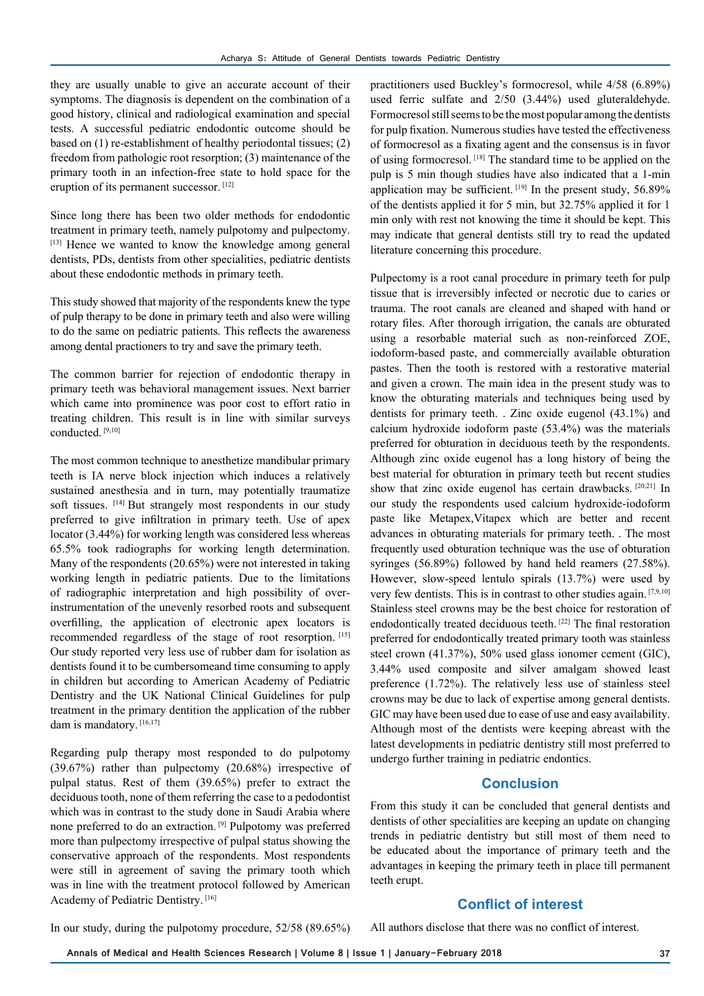they are usually unable to give an accurate account of their symptoms. The diagnosis is dependent on the combination of a good history, clinical and radiological examination and special tests. A successful pediatric endodontic outcome should be based on (1) re-establishment of healthy periodontal tissues; (2) freedom from pathologic root resorption; (3) maintenance of the primary tooth in an infection-free state to hold space for the eruption of its permanent successor. [12]

Since long there has been two older methods for endodontic treatment in primary teeth, namely pulpotomy and pulpectomy. [13] Hence we wanted to know the knowledge among general dentists, PDs, dentists from other specialities, pediatric dentists about these endodontic methods in primary teeth.

This study showed that majority of the respondents knew the type of pulp therapy to be done in primary teeth and also were willing to do the same on pediatric patients. This reflects the awareness among dental practioners to try and save the primary teeth.

The common barrier for rejection of endodontic therapy in primary teeth was behavioral management issues. Next barrier which came into prominence was poor cost to effort ratio in treating children. This result is in line with similar surveys conducted<sup>[9,10]</sup>

The most common technique to anesthetize mandibular primary teeth is IA nerve block injection which induces a relatively sustained anesthesia and in turn, may potentially traumatize soft tissues. [14] But strangely most respondents in our study preferred to give infiltration in primary teeth. Use of apex locator (3.44%) for working length was considered less whereas 65.5% took radiographs for working length determination. Many of the respondents (20.65%) were not interested in taking working length in pediatric patients. Due to the limitations of radiographic interpretation and high possibility of overinstrumentation of the unevenly resorbed roots and subsequent overfilling, the application of electronic apex locators is recommended regardless of the stage of root resorption. [15] Our study reported very less use of rubber dam for isolation as dentists found it to be cumbersomeand time consuming to apply in children but according to American Academy of Pediatric Dentistry and the UK National Clinical Guidelines for pulp treatment in the primary dentition the application of the rubber dam is mandatory. [16,17]

Regarding pulp therapy most responded to do pulpotomy (39.67%) rather than pulpectomy (20.68%) irrespective of pulpal status. Rest of them (39.65%) prefer to extract the deciduous tooth, none of them referring the case to a pedodontist which was in contrast to the study done in Saudi Arabia where none preferred to do an extraction. [9] Pulpotomy was preferred more than pulpectomy irrespective of pulpal status showing the conservative approach of the respondents. Most respondents were still in agreement of saving the primary tooth which was in line with the treatment protocol followed by American Academy of Pediatric Dentistry. [16]

practitioners used Buckley's formocresol, while 4/58 (6.89%) used ferric sulfate and 2/50 (3.44%) used gluteraldehyde. Formocresol still seems to be the most popular among the dentists for pulp fixation. Numerous studies have tested the effectiveness of formocresol as a fixating agent and the consensus is in favor of using formocresol. [18] The standard time to be applied on the pulp is 5 min though studies have also indicated that a 1-min application may be sufficient.  $[19]$  In the present study, 56.89% of the dentists applied it for 5 min, but 32.75% applied it for 1 min only with rest not knowing the time it should be kept. This may indicate that general dentists still try to read the updated literature concerning this procedure.

Pulpectomy is a root canal procedure in primary teeth for pulp tissue that is irreversibly infected or necrotic due to caries or trauma. The root canals are cleaned and shaped with hand or rotary files. After thorough irrigation, the canals are obturated using a resorbable material such as non-reinforced ZOE, iodoform-based paste, and commercially available obturation pastes. Then the tooth is restored with a restorative material and given a crown. The main idea in the present study was to know the obturating materials and techniques being used by dentists for primary teeth. . Zinc oxide eugenol (43.1%) and calcium hydroxide iodoform paste (53.4%) was the materials preferred for obturation in deciduous teeth by the respondents. Although zinc oxide eugenol has a long history of being the best material for obturation in primary teeth but recent studies show that zinc oxide eugenol has certain drawbacks. [20,21] In our study the respondents used calcium hydroxide-iodoform paste like Metapex,Vitapex which are better and recent advances in obturating materials for primary teeth. . The most frequently used obturation technique was the use of obturation syringes (56.89%) followed by hand held reamers (27.58%). However, slow-speed lentulo spirals (13.7%) were used by very few dentists. This is in contrast to other studies again. [7,9,10] Stainless steel crowns may be the best choice for restoration of endodontically treated deciduous teeth. [22] The final restoration preferred for endodontically treated primary tooth was stainless steel crown (41.37%), 50% used glass ionomer cement (GIC), 3.44% used composite and silver amalgam showed least preference (1.72%). The relatively less use of stainless steel crowns may be due to lack of expertise among general dentists. GIC may have been used due to ease of use and easy availability. Although most of the dentists were keeping abreast with the latest developments in pediatric dentistry still most preferred to undergo further training in pediatric endontics.

# **Conclusion**

From this study it can be concluded that general dentists and dentists of other specialities are keeping an update on changing trends in pediatric dentistry but still most of them need to be educated about the importance of primary teeth and the advantages in keeping the primary teeth in place till permanent teeth erupt.

## **Conflict of interest**

In our study, during the pulpotomy procedure, 52/58 (89.65%)

All authors disclose that there was no conflict of interest.